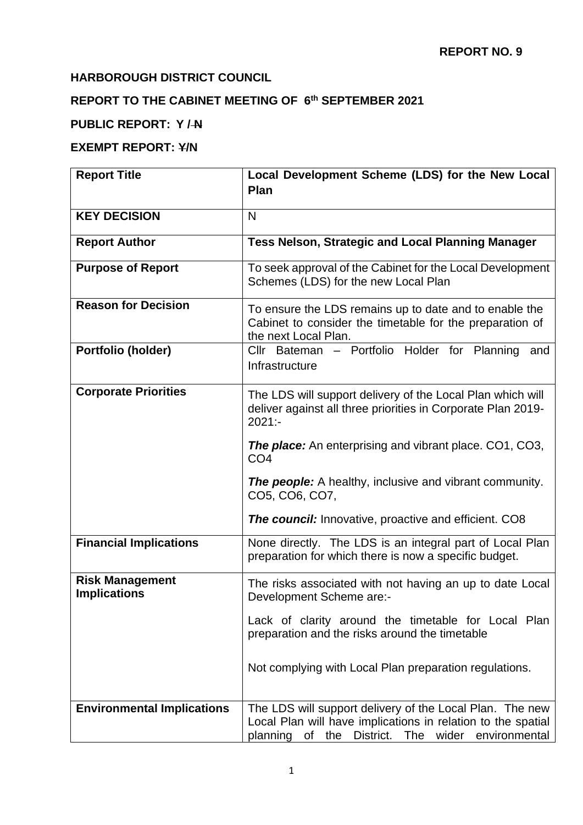# **HARBOROUGH DISTRICT COUNCIL**

### **REPORT TO THE CABINET MEETING OF 6 th SEPTEMBER 2021**

# **PUBLIC REPORT: Y / N**

### **EXEMPT REPORT: Y/N**

| <b>Report Title</b>                           | Local Development Scheme (LDS) for the New Local                                                                                                                                 |
|-----------------------------------------------|----------------------------------------------------------------------------------------------------------------------------------------------------------------------------------|
|                                               | Plan                                                                                                                                                                             |
| <b>KEY DECISION</b>                           | N                                                                                                                                                                                |
| <b>Report Author</b>                          | Tess Nelson, Strategic and Local Planning Manager                                                                                                                                |
| <b>Purpose of Report</b>                      | To seek approval of the Cabinet for the Local Development<br>Schemes (LDS) for the new Local Plan                                                                                |
| <b>Reason for Decision</b>                    | To ensure the LDS remains up to date and to enable the<br>Cabinet to consider the timetable for the preparation of<br>the next Local Plan.                                       |
| Portfolio (holder)                            | Cllr Bateman - Portfolio Holder for Planning<br>and<br>Infrastructure                                                                                                            |
| <b>Corporate Priorities</b>                   | The LDS will support delivery of the Local Plan which will<br>deliver against all three priorities in Corporate Plan 2019-<br>$2021: -$                                          |
|                                               | <b>The place:</b> An enterprising and vibrant place. CO1, CO3,<br>CO <sub>4</sub>                                                                                                |
|                                               | <b>The people:</b> A healthy, inclusive and vibrant community.<br>CO5, CO6, CO7,                                                                                                 |
|                                               | <b>The council:</b> Innovative, proactive and efficient. CO8                                                                                                                     |
| <b>Financial Implications</b>                 | None directly. The LDS is an integral part of Local Plan<br>preparation for which there is now a specific budget.                                                                |
| <b>Risk Management</b><br><b>Implications</b> | The risks associated with not having an up to date Local<br>Development Scheme are:-                                                                                             |
|                                               | Lack of clarity around the timetable for Local Plan<br>preparation and the risks around the timetable                                                                            |
|                                               | Not complying with Local Plan preparation regulations.                                                                                                                           |
| <b>Environmental Implications</b>             | The LDS will support delivery of the Local Plan. The new<br>Local Plan will have implications in relation to the spatial<br>planning of the<br>District. The wider environmental |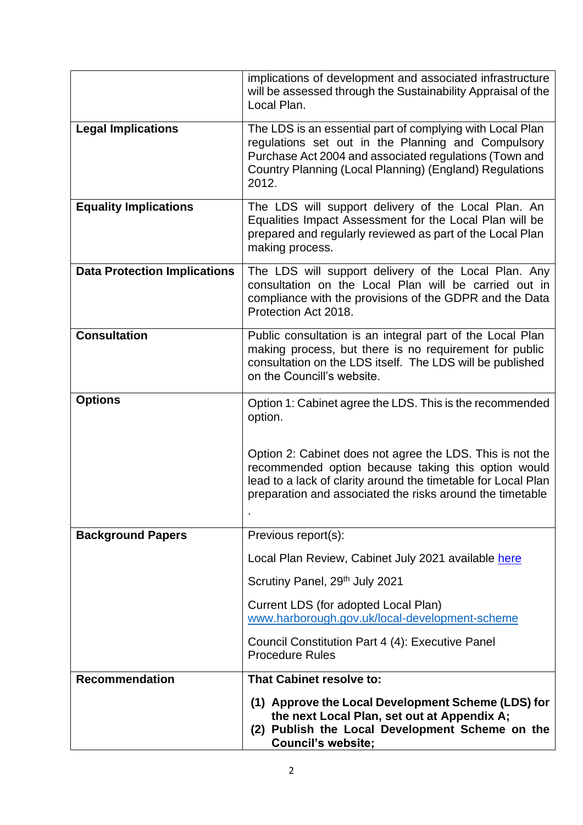|                                     | implications of development and associated infrastructure<br>will be assessed through the Sustainability Appraisal of the<br>Local Plan.                                                                                                       |
|-------------------------------------|------------------------------------------------------------------------------------------------------------------------------------------------------------------------------------------------------------------------------------------------|
| <b>Legal Implications</b>           | The LDS is an essential part of complying with Local Plan<br>regulations set out in the Planning and Compulsory<br>Purchase Act 2004 and associated regulations (Town and<br>Country Planning (Local Planning) (England) Regulations<br>2012.  |
| <b>Equality Implications</b>        | The LDS will support delivery of the Local Plan. An<br>Equalities Impact Assessment for the Local Plan will be<br>prepared and regularly reviewed as part of the Local Plan<br>making process.                                                 |
| <b>Data Protection Implications</b> | The LDS will support delivery of the Local Plan. Any<br>consultation on the Local Plan will be carried out in<br>compliance with the provisions of the GDPR and the Data<br>Protection Act 2018.                                               |
| <b>Consultation</b>                 | Public consultation is an integral part of the Local Plan<br>making process, but there is no requirement for public<br>consultation on the LDS itself. The LDS will be published<br>on the Councill's website.                                 |
| <b>Options</b>                      | Option 1: Cabinet agree the LDS. This is the recommended<br>option.                                                                                                                                                                            |
|                                     | Option 2: Cabinet does not agree the LDS. This is not the<br>recommended option because taking this option would<br>lead to a lack of clarity around the timetable for Local Plan<br>preparation and associated the risks around the timetable |
| <b>Background Papers</b>            | Previous report(s):                                                                                                                                                                                                                            |
|                                     | Local Plan Review, Cabinet July 2021 available here                                                                                                                                                                                            |
|                                     | Scrutiny Panel, 29th July 2021                                                                                                                                                                                                                 |
|                                     | Current LDS (for adopted Local Plan)<br>www.harborough.gov.uk/local-development-scheme                                                                                                                                                         |
|                                     | Council Constitution Part 4 (4): Executive Panel<br><b>Procedure Rules</b>                                                                                                                                                                     |
| <b>Recommendation</b>               | <b>That Cabinet resolve to:</b>                                                                                                                                                                                                                |
|                                     | (1) Approve the Local Development Scheme (LDS) for<br>the next Local Plan, set out at Appendix A;<br>(2) Publish the Local Development Scheme on the<br><b>Council's website;</b>                                                              |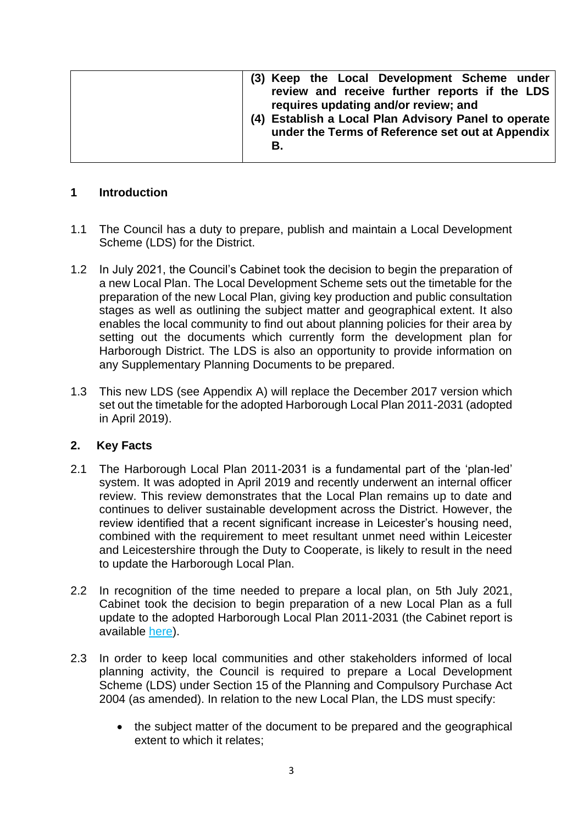| (3) Keep the Local Development Scheme under<br>review and receive further reports if the LDS<br>requires updating and/or review; and<br>(4) Establish a Local Plan Advisory Panel to operate<br>under the Terms of Reference set out at Appendix<br>В. |
|--------------------------------------------------------------------------------------------------------------------------------------------------------------------------------------------------------------------------------------------------------|
|--------------------------------------------------------------------------------------------------------------------------------------------------------------------------------------------------------------------------------------------------------|

### **1 Introduction**

- 1.1 The Council has a duty to prepare, publish and maintain a Local Development Scheme (LDS) for the District.
- 1.2 In July 2021, the Council's Cabinet took the decision to begin the preparation of a new Local Plan. The Local Development Scheme sets out the timetable for the preparation of the new Local Plan, giving key production and public consultation stages as well as outlining the subject matter and geographical extent. It also enables the local community to find out about planning policies for their area by setting out the documents which currently form the development plan for Harborough District. The LDS is also an opportunity to provide information on any Supplementary Planning Documents to be prepared.
- 1.3 This new LDS (see Appendix A) will replace the December 2017 version which set out the timetable for the adopted Harborough Local Plan 2011-2031 (adopted in April 2019).

## **2. Key Facts**

- 2.1 The Harborough Local Plan 2011-2031 is a fundamental part of the 'plan-led' system. It was adopted in April 2019 and recently underwent an internal officer review. This review demonstrates that the Local Plan remains up to date and continues to deliver sustainable development across the District. However, the review identified that a recent significant increase in Leicester's housing need. combined with the requirement to meet resultant unmet need within Leicester and Leicestershire through the Duty to Cooperate, is likely to result in the need to update the Harborough Local Plan.
- 2.2 In recognition of the time needed to prepare a local plan, on 5th July 2021, Cabinet took the decision to begin preparation of a new Local Plan as a full update to the adopted Harborough Local Plan 2011-2031 (the Cabinet report is available [here\)](https://cmis.harborough.gov.uk/cmis5/Meetings/tabid/73/ctl/ViewMeetingPublic/mid/410/Meeting/5605/Committee/807/Default.aspx).
- 2.3 In order to keep local communities and other stakeholders informed of local planning activity, the Council is required to prepare a Local Development Scheme (LDS) under Section 15 of the Planning and Compulsory Purchase Act 2004 (as amended). In relation to the new Local Plan, the LDS must specify:
	- the subject matter of the document to be prepared and the geographical extent to which it relates;